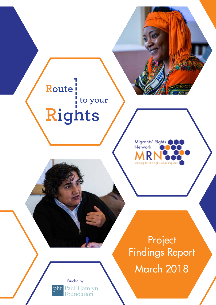# Route<sup></sup> to your Rights



Project Findings Report March 2018

Funded by phf Paul Hamlyn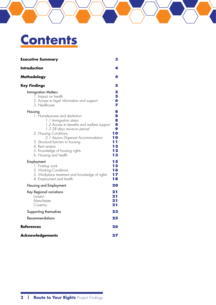# **Contents**

| <b>Executive Summary</b>                                                                                                                                                                                                                                                                                                                                                                     | 3                                                                           |
|----------------------------------------------------------------------------------------------------------------------------------------------------------------------------------------------------------------------------------------------------------------------------------------------------------------------------------------------------------------------------------------------|-----------------------------------------------------------------------------|
| <b>Introduction</b>                                                                                                                                                                                                                                                                                                                                                                          | 4                                                                           |
| Methodology                                                                                                                                                                                                                                                                                                                                                                                  | 4                                                                           |
| <b>Key Findings</b>                                                                                                                                                                                                                                                                                                                                                                          | 5                                                                           |
| <b>Immigration Matters</b><br>1. Impact on health<br>2. Access to legal information and support<br>3. Healthcare                                                                                                                                                                                                                                                                             | 5<br>5<br>б<br>7                                                            |
| Housing<br>1. Homelessness and destitution<br>1.1 Immigration status<br>1.2 Access to benefits and welfare support<br>1.3 28 days move-on period<br>2. Housing Conditions<br>2.1 Asylum Dispersal Accommodation<br>3. Structural barriers to housing<br>4. Rent arrears<br>5. Knowledge of housing rights<br>6. Housing and health<br>Employment<br>1. Finding work<br>2. Working Conditions | 8<br>8<br>8<br>8<br>9<br>10<br>10<br>11<br>12<br>12<br>13<br>15<br>15<br>16 |
| 3. Workplace treatment and knowledge of rights<br>4. Employment and health                                                                                                                                                                                                                                                                                                                   | 17<br>18                                                                    |
| Housing and Employment                                                                                                                                                                                                                                                                                                                                                                       | 20                                                                          |
| Key Regional variations<br>London<br>Manchester<br>Coventry                                                                                                                                                                                                                                                                                                                                  | 21<br>21<br>21<br>21                                                        |
| Supporting themselves                                                                                                                                                                                                                                                                                                                                                                        | 23                                                                          |
| <b>Recommendations</b>                                                                                                                                                                                                                                                                                                                                                                       | 25                                                                          |
| <b>References</b>                                                                                                                                                                                                                                                                                                                                                                            | 26                                                                          |
| <b>Acknowledgements</b>                                                                                                                                                                                                                                                                                                                                                                      | 27                                                                          |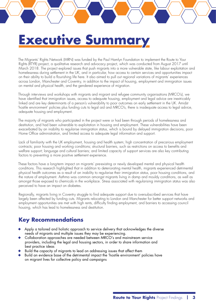# <span id="page-2-0"></span>**Executive Summa**

The Migrants' Rights Network (MRN) was funded by the Paul Hamlyn Foundation to implement the Route to Your Rights (RTYR) project, a qualitative research and advocacy project, which was conducted from August 2017 until March 2018. The project explored issues that push migrants into a more vulnerable state, like labour exploitation and homelessness during settlement in the UK, and in particular, how access to certain services and opportunities impact on their ability to build a flourishing life here. It also aimed to pull out regional variations of migrants' experiences across London, Manchester and Coventry, in addition to the impact of housing, employment and immigration issues on mental and physical health, and the gendered experience of migration.

Through interviews and workshops with migrants and migrant and refugee community organisations (MRCO's), we have identified that immigration issues, access to adequate housing, employment and legal advice are inextricably linked and are key determinants of a person's vulnerability to poor outcomes on early settlement in the UK. Amidst 'hostile environment' policies plus funding cuts to legal aid and MRCO's, there is inadequate access to legal advice, adequate housing and employment.

The majority of migrants who participated in the project were or had been through periods of homelessness and destitution, and had been vulnerable to exploitation in housing and employment. These vulnerabilities have been exacerbated by an inability to regularise immigration status, which is bound by delayed immigration decisions, poor Home Office administration, and limited access to adequate legal information and support.

Lack of familiarity with the UK employment, housing and health system; high concentration of precarious employment contracts; poor housing and working conditions; structural barriers, such as restrictions on access to benefits and welfare support; language and cultural barriers; and limited capacity of support services are also key contributing factors to preventing a more positive settlement experience.

These factors have a long-term impact on migrants' pre-existing or newly developed mental and physical health conditions. This research highlighted that in addition to deteriorating mental health, migrants experienced detrimental physical health outcomes as a result of an inability to regularise their immigration status, poor housing conditions, and the nature of employment. Asthma was common amongst migrants living in damp and mouldy conditions, as well as amongst those exposed to chemicals in the workplace. Stress associated with regularising immigration status was also perceived to have an impact on diabetes.

Regionally, migrants living in Coventry struggle to find adequate support due to oversubscribed services that have largely been affected by funding cuts. Migrants relocating to London and Manchester for better support networks and employment opportunities are met with high rents, difficulty finding employment, and barriers to accessing council housing, which has lead to homelessness and destitution.

## **Key Recommendations**

- Apply a tailored and holistic approach to service delivery that acknowledges the diverse needs of migrants and multiple issues they may be experiencing.
- Collaboration approaches are needed between MRCO's and mainstream service providers, including the legal and housing sectors, in order to share information and best practice ideas
- Build the capacity of migrants to lead on addressing issues that affect them
- Build an evidence base of the detrimental impact the 'hostile environment' policies have on migrant lives for collective policy and campaigns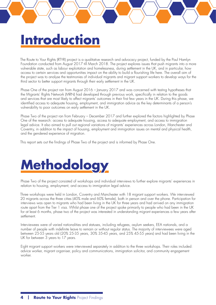# <span id="page-3-0"></span>**Introduction**

The Route to Your Rights (RTYR) project is a qualitative research and advocacy project, funded by the Paul Hamlyn Foundation conducted from August 2017 till March 2018. The project explores issues that push migrants into a more vulnerable state, such as labour exploitation and homelessness, during settlement in the UK, and in particular, how access to certain services and opportunities impact on the ability to build a flourishing life here. The overall aim of the project was to analyse the testimonies of individual migrants and migrant support workers to develop ways for the third sector to better support migrants through their early settlement in the UK.

Phase One of the project ran from August 2016 – January 2017 and was concerned with testing hypotheses that the Migrants' Rights Network (MRN) had developed through previous work, specifically in relation to the goods and services that are most likely to affect migrants' outcomes in their first few years in the UK. During this phase, we identified access to adequate housing, employment, and immigration advice as the key determinants of a person's vulnerability to poor outcomes on early settlement in the UK.

Phase Two of the project ran from February – December 2017 and further explored the factors highlighted by Phase One of the research: access to adequate housing, access to adequate employment, and access to immigration legal advice. It also aimed to pull out regional variations of migrants' experiences across London, Manchester and Coventry, in addition to the impact of housing, employment and immigration issues on mental and physical health, and the gendered experience of migration.

This report sets out the findings of Phase Two of the project and is informed by Phase One.



Phase Two of the project consisted of workshops and individual interviews to further explore migrants' experiences in relation to housing, employment, and access to immigration legal advice.

Three workshops were held in London, Coventry and Manchester with 18 migrant support workers. We interviewed 20 migrants across the three cities (40% male and 60% female), both in person and over the phone. Participation for interviews was open to migrants who had been living in the UK for three years and had arrived on any immigration route apart from the Tier 1 visa. Whilst phase one of the project spoke primarily to people who had been in the UK for at least 6 months, phase two of the project was interested in understanding migrant experiences a few years after settlement.

Interviewees were of varied nationalities and statuses, including refugees, asylum seekers, EEA nationals, and a number of people with indefinite leave to remain or without regular status. The majority of interviewees were aged between 25-55 years old (20% 25-35 years, 30% 35-45 years, and 25% 45-55 years) and had been living in the UK for between 3 years to 17 years.

Eight migrant support workers were interviewed separately in addition to the three workshops. Their roles included: advice worker, migrant organiser, policy and communications, immigration solicitor, and community engagement worker.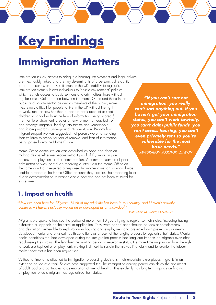# <span id="page-4-0"></span>**Key Findings**

## **Immigration Matters**

Immigration issues, access to adequate housing, employment and legal advice are inextricably linked and are key determinants of a person's vulnerability to poor outcomes on early settlement in the UK. Inability to regularise immigration status subjects individuals to 'hostile environment' policies<sup>[1](#page-25-1)</sup>, which restricts access to basic services and criminalises those without regular status. Collaboration between the Home Office and those in the public and private sector, as well as members of the public, makes it extremely difficult for people to live in the UK without the right to work, rent, access healthcare, open a bank account or send children to school without the fear of information being shared.<sup>[2](#page-25-2)</sup> The 'hostile environment' creates an environment of fear, both of and amongst migrants, feeding into racism and xenophobia, and forcing migrants underground into destitution. Reports from migrant support workers suggested that parents were not sending their children to school for fear of removal and fear of information being passed onto the Home Office.

Home Office administration was described as poor, and decisionmaking delays left some people without proof of ID, impacting on access to employment and accommodation. A common example of poor administration was individuals receiving a letter from the Home Office on the same day that it required a response. In another case, an individual was unable to report to the Home Office because they had lost their reporting letter due to accommodation relocation and a new one had not been reissued for some time.

## **1. Impact on health**

*"Now I've been here for 17 years. Much of my adult life has been in this country, and I haven't actually achieved – I haven't actually moved on or developed as an individual."*

### *IRREGULAR MIGRANT, COVENTRY*

Migrants we spoke to had spent a period of more than 10 years trying to regularise their status, including having exhausted all appeals on their asylum application. They were or had been through periods of homelessness and destitution, vulnerable to exploitation in housing and employment and presented with pre-existing or newly developed mental and physical health conditions as a result of the lengthy process to regularise their status. Mental health conditions that had developed during the immigration process had long-term impacts on migrants even after regularising their status. The lengthier the waiting period to regularise status, the more time migrants without the right to work are kept out of employment, making it difficult to sustain themselves financially and to re-enter the labour market once status has been regularised.

Without a timeframe attached to immigration processing decisions, their uncertain future places migrants in an extended period of arrival. Studies have suggested that the immigration-waiting period can delay the attainment of adulthood and contributes to deterioration of mental health.[3](#page-25-3) This evidently has long-term impacts on finding employment once a migrant has regularised their status.

*"If you can't sort out immigration, you really can't sort anything out. If you haven't got your immigration status, you can't work lawfully, you can't claim public funds, you can't access housing, you can't even privately rent so you're vulnerable for the most basic needs." IMMIGRATION SOLICITOR, LONDON*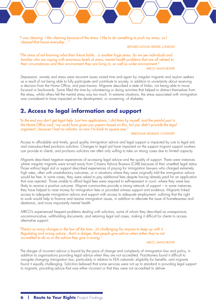<span id="page-5-0"></span>*"I was cleaning. I like cleaning because of the stress. I like to do something to push my stress, so I cleaned that house everyday…"*

*REFUSED ASYLUM SEEKER, LONDON*

*"The stress of not knowing what their future holds…is another huge stress. So we see individuals and families who are coping with enormous levels of stress, mental health problems that are all related to their circumstances and their environment they are living in, as well as wider environment." MRCO, MANCHESTER*

Depression, anxiety and stress were recurrent issues raised time and again by irregular migrants and asylum seekers as a result of not being able to fully participate and contribute to society, in addition to uncertainty about receiving a decision from the Home Office, and past trauma. Migrants described a state of limbo, not being able to move forward or backwards. Some filled the time by volunteering or doing activities that helped to distract themselves from the stress, whilst others felt the mental stress was too much. In extreme situations, the stress associated with immigration was considered to have impacted on the development, or worsening, of diabetes.

### **2. Access to legal information and support**

*"In the end you don't get legal help. Last two applications, I did them by myself, and the painful part is the Home Office said, 'we could have given you papers based on this, but you didn't provide the legal argument', because I had no solicitor, so now I'm back to square one."*

*IRREGULAR MIGRANT, COVENTRY*

Access to affordable and timely, good quality immigration advice and legal support is impacted by cuts to legal aid, and oversubscribed pro-bono solicitors. Changes to legal aid have impacted on the support migrant support workers can provide to clients, and pro-bono solicitors are often only willing to take on strong cases due to limited capacity.

Migrants described negative experiences of accessing legal advice and the quality of support. There were instances where irregular migrants were turned away from Citizens Advice Bureaus (CAB) because of their unsettled legal status. Those without legal aid or support described experiences of paying for immigration lawyers who charged extremely high rates, often with unsatisfactory outcomes, or in situations where they were originally told the immigration advice would be free. In some cases, they were asked to pay additional fees despite having already paid for an application that was rejected. Those unable to afford legal fees were required to self-represent in court, where they were less likely to receive a positive outcome. Migrant communities provide a strong network of support – in some instances, they have helped to raise money for immigration fees or provided witness support and evidence. Migrants linked access to adequate immigration advice and support with access to adequate employment, outlining that the right to work would help to finance and resolve immigration issues, in addition to alleviate the issue of homelessness and destitution, and more importantly mental health.

MRCO's experienced frequent problems dealing with solicitors, some of whom they described as unresponsive, uncommunicative, withholding documents, and retaining legal aid cases, making it difficult for clients to access alternative support.

*"There's so many changes in the law all the time...it's challenging for anyone to keep up with it. Regulating and wrong advice...that's a danger, that people give advice when either they're not accredited to do so or the advice they give is wrong."*

#### *MRCO, MANCHESTER*

The danger of incorrect advice is bound by the pace of change and complexity of immigration law and policy, in addition to organisations providing legal advice when they are not accredited. Practitioners found it difficult to navigate changing immigration law, particularly in relation to EEA nationals' eligibility for benefits, and migrants found it equally challenging. Solicitors believed that some services were not up to standard in providing legal support to migrants, providing advice that was either incorrect or that they were not accredited to deliver.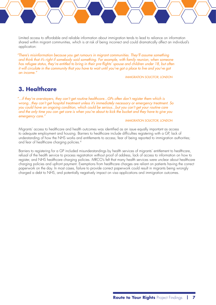<span id="page-6-0"></span>Limited access to affordable and reliable information about immigration tends to lead to reliance on information shared within migrant communities, which is at risk of being incorrect and could dramatically affect an individual's application:

*"There's misinformation because you get rumours in migrant communities. They'll assume something and think that it's right if somebody said something. For example, with family reunion, when someone has refugee status, they're entitled to bring in their pre-flights' spouse and children under 18, but often it will circulate in the community that you have to wait until you've got a place to live and you've got an income."*

*IMMIGRATION SOLICITOR, LONDON*

### **3. Healthcare**

*"...if they're overstayers, they can't get routine healthcare...GPs often don't register them which is wrong...they can't get hospital treatment unless it's immediately necessary or emergency treatment. So you could have an ongoing condition, which could be serious...but you can't get your routine care and the only time you can get care is when you're about to kick the bucket and they have to give you emergency care."*

### *IMMIGRATION SOLICITOR, LONDON*

Migrants' access to healthcare and health outcomes was identified as an issue equally important as access to adequate employment and housing. Barriers to healthcare include difficulties registering with a GP, lack of understanding of how the NHS works and entitlements to access; fear of being reported to immigration authorities; and fear of healthcare charging policies.[4](#page-25-4)

Barriers to registering for a GP included misunderstandings by health services of migrants' entitlement to healthcare, refusal of the health service to process registration without proof of address, lack of access to information on how to register, and NHS healthcare charging policies. MRCO's felt that many health services were unclear about healthcare charging policies and upfront payment. Exemptions from healthcare charges are reliant on patients having the correct paperwork on the day. In most cases, failure to provide correct paperwork could result in migrants being wrongly charged a debt to NHS, and potentially negatively impact on visa applications and immigration outcomes.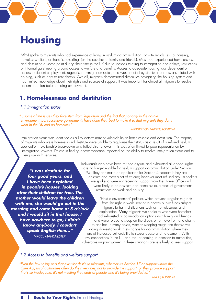## <span id="page-7-0"></span>**Housing**

MRN spoke to migrants who had experience of living in asylum accommodation, private rentals, social housing, homeless shelters, or those 'sofa-surfing' (on the couches of family and friends). Most had experienced homelessness and destitution at some point during their time in the UK due to reasons relating to immigration and delays, restrictions or informal gatekeeping around access to welfare and benefits. Access to adequate housing was dependent on access to decent employment, regularised immigration status, and was affected by structural barriers associated with housing, such as right to rent checks. Overall, migrants demonstrated difficulties navigating the housing system and had limited knowledge about their rights and sources of support. It was important for almost all migrants to resolve accommodation before finding employment.

### **1. Homelessness and destitution**

### *1.1 Immigration status*

*"…some of the issues they face stem from legislation and the fact that not only in the hostile*  environment, but successive governments have done their best to make it so that migrants they don't *want in the UK end up homeless."*

### *IMMIGRATION LAWYER, LONDON*

Immigration status was identified as a key determinant of vulnerability to homelessness and destitution. The majority of migrants who were homeless and destitute were unable to regularise their status as a result of a refused asylum application, relationship breakdown or a failed visa renewal. This was often linked to poor representation by immigration lawyers. Delays in finding accommodation impacted on the ability to resolve immigration status and to engage with services.

*"I was destitute for four good years, and I have been exploited in people's houses, looking after their children for free. The mother would leave the children with me, she would go out in the morning and come home at 5 o'clock and I would sit in that house, I have nowhere to go, I didn't know anybody, I couldn't speak English then…" MRCO, MANCHESTER*

Individuals who have been refused asylum and exhausted all appeal rights are no longer eligible for asylum support accommodation under Section 95. They can make an application for Section 4 support if they are destitute and meet a set of criteria; however most refused asylum seekers we spoke to were not receiving support from the Home Office and were likely to be destitute and homeless as a result of government restrictions on work and housing.

'Hostile environment' policies which prevent irregular migrants from the right to work, rent or to access public funds subject migrants to harmful situations such as homelessness and exploitation. Many migrants we spoke to who were homeless had exhausted accommodation options with family and friends and were forced to sleep on the streets or to move from one charity to another. In many cases, women sleeping rough find themselves doing domestic work in exchange for accommodation where they are at increased vulnerability to sexual abuse and harassment. With few connections in the UK and fear of coming to attention to authorities, vulnerable migrant women in these situations are less likely to seek support.

### *1.2 Access to benefits and welfare support*

*"Even the few safety nets that exist for destitute migrants, whether it's Section 17 or support under the Care Act, local authorities often do their very best not to provide the support, or they provide support that's so inadequate, it's not meeting the needs of people who it's being provided to."*

*MRCO, LONDON*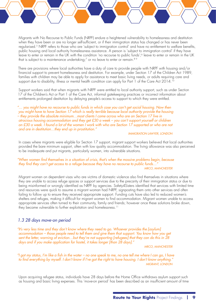<span id="page-8-0"></span>Migrants with No Recourse to Public Funds (NRPF) endure a heightened vulnerability to homelessness and destitution when they have been or are no longer self-sufficient, or if their immigration status has changed or has never been regularised.[5](#page-25-5) NRPF refers to those who are 'subject to immigration control' and have no entitlement to welfare benefits, public housing and local authority homelessness assistance. A person is 'subject to immigration control' if they have leave to enter or remain in the UK with the condition 'no recourse to public funds';<sup>6</sup> leave to enter or remain in the UK that is subject to a maintenance undertaking;<sup>7</sup> or no leave to enter or remain.<sup>8[9](#page-25-9)</sup>

There are provisions where local authorities have a duty of care to provide people with NRPF with housing and/or financial support to prevent homelessness and destitution. For example, under Section 17 of the Children Act 1989, families with children may be able to apply for assistance to meet basic living needs, or adults requiring care and support due to disability, illness or mental health condition can apply for Part 1 of the Care Act 2014.<sup>10</sup>

Support workers said that when migrants with NRPF were entitled to local authority support, such as under Section 17 of the Children's Act or Part 1 of the Care Act, informal gatekeeping practices or incorrect information about entitlements prolonged destitution by delaying people's access to support to which they were entitled.

*"… you might have no recourse to public funds in which case you can't get social housing. Now then you might have to have Section 17 which is really terrible because local authority provide the housing – they provide the absolute minimum…most clients I come across who are on Section 17 live in atrocious housing accommodation and they get £30 a week – you can't support yourself or children on £30 a week. I found a lot of the women I work with who are Section 17 supported or who are not and are in destitution…they end up in prostitution."*

*IMMIGRATION LAWYER, LONDON*

In cases where migrants were eligible for Section 17 support, migrant support workers believed that local authorities provided the bare minimum support, often with low quality accommodation. The living allowance was also perceived to be inadequate and put migrants, particularly women, into vulnerable situations.

### *"When women find themselves in a situation of crisis, that's when the massive problems begin, because they find they can't get access to a refuge because they have no recourse to public funds…" MRCO, MANCHESTER*

Migrant women on dependent visas who are victims of domestic violence also find themselves in situations where they are unable to access refuge spaces or support services due to the precarity of their immigration status or due to being misinformed or wrongly identified as NRPF by agencies. Safety4Sisters identified that services with limited time and resources were quick to assume a migrant woman had NRPF, signposting them onto other services and often failing to follow up to ensure they received appropriate support. Funding cuts have also led to reduced women's shelters and refuges, making it difficult for migrant women to find accommodation. Migrant women unable to access appropriate services often turned to their community, family and friends; however once these solutions broke down, they became vulnerable to further exploitation and homelessness.<sup>11</sup>

### *1.3 28 days move-on period*

*"It's very less time and they don't know where they need to go. Whoever provides the [asylum] accommodation – those people need to tell them and give them that support. You know how you get sent the letter, warning of eviction…but they're not supporting [refugees] that they can do this in 28 days and if you make application for hostel, it takes longer [than 28 days]."*

*MRCO, MANCHESTER*

*"I got my status, I'm like a fish in the water – no one speak to me, no one tell me where I can go, I have to find everything by myself. I don't know if I've got the right to have housing. I don't know anything." MIGRANT, LONDON*

Upon acquiring refugee status, individuals have 28 days before the Home Office withdraws asylum support such as housing and basic living expenses. This 'move-on period' has been described as an insufficient amount of time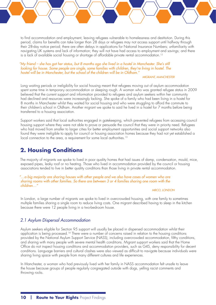<span id="page-9-0"></span>to find accommodation and employment, leaving refugees vulnerable to homelessness and destitution. During this period, claims for benefits can take longer than 28 days or refugees may not access support until halfway through their 28-day notice period; there are often delays in applications for National Insurance Numbers; unfamiliarity with navigating UK systems and lack of information; they will not have had access to employment and savings; and there is a lack of available social housing or shortage of affordable private rental accommodation.[12](#page-25-12)

### *"My friend – she has got her status, but 8 months ago she lived in a hostel in Manchester. She's still looking for house. Some people are single, some families with children, they're living in hostel. The hostel will be in Manchester, but the school of the children will be in Oldham."*

### *MIGRANT, MANCHESTER*

Long waiting periods or ineligibility for social housing meant that refugees moving out of asylum accommodation spent some time in temporary accommodation or sleeping rough. A woman who was granted refugee status in 2009 believed that the current support and information provided to refugees and asylum seekers within her community had declined and resources were increasingly lacking. She spoke of a family who had been living in a hostel for 8 months in Manchester whilst they waited for social housing and who were struggling to afford the commute to their children's school in Oldham. Another migrant we spoke to said he lived in a hostel for 7 months before being transferred to a housing association.

Support workers said that local authorities engaged in gatekeeping, which prevented refugees from accessing council housing support where they were not able to prove or persuade the council that they were in priority need. Refugees who had moved from smaller to larger cities for better employment opportunities and social support networks also found they were ineligible to apply for council or housing association homes because they had not yet established a local connection to the area, a requirement for some local authorities.<sup>13</sup>

## **2. Housing Conditions**

The majority of migrants we spoke to lived in poor quality homes that had issues of damp, condensation, mould, mice, exposed pipes, leaky roof or no heating. Those who lived in accommodation provided by the council or housing associations tended to live in better quality conditions than those living in private rental accommodation.

### *"…a big majority are sharing houses with other people and we also have cases of women who are sharing rooms with other families. So there are between 3 or 4 families sharing one room with the children…"*

### *MRCO, LONDON*

In London, a large number of migrants we spoke to lived in overcrowded housing, with one family to sometimes multiple families sharing a single room to reduce living costs. One migrant described having to sleep in the kitchen because there were 12 people living in a two-bedroom house.

### *2.1 Asylum Dispersal Accommodation*

Asylum seekers eligible for Section 95 support will usually be placed in dispersed accommodation whilst their application is being processed[.14](#page-25-14) There were a number of concerns raised in relation to the housing conditions provided by the National Asylum Support Service (NASS), including overcrowded accommodation, filthy conditions, and sharing with many people with severe mental health conditions. Migrant support workers said that the Home Office do not inspect housing conditions and accommodation providers, such as G4S, deny responsibility for decent conditions. Language barriers and cultural clashes were also viewed as difficult to navigate because individuals were sharing living space with people from many different cultures and life experiences.

In Manchester, a woman who had previously lived with her family in NASS accommodation felt unsafe to leave the house because groups of people regularly congregated outside with dogs, yelling racist comments and throwing rocks.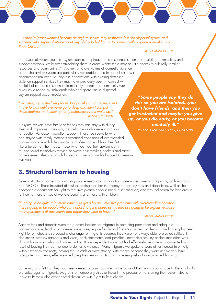<span id="page-10-0"></span>*"…if they [migrant women] become an asylum seeker, they're thrown into the dispersal system and scattered into dispersal sites without any ability to hold on or to connect with organisations like us or Rape Crisis…"*

#### *MRCO, MANCHESTER*

The dispersal system subjects asylum seekers to upheaval and disconnects them from existing communities and support networks, while accommodating them in areas where there may be little access to culturally familiar

resources and communities[.15](#page-25-15) Women who are victims of domestic violence and in the asylum system are particularly vulnerable to the impact of dispersal accommodation because they lose connections with existing domestic violence support services they may have previously been in contact with. Social isolation and disconnect from family, friends and community was a key issue raised by individuals who had spent time in dispersal asylum support accommodation.

### *"I was sleeping in the living room. I've got like a big mattress and I have to wait until everyone go to sleep and then I can put down mattress and wake up early before everyone wake up." REFUGEE, LONDON*

If asylum seekers have family or friends they can stay with during their asylum process, they may be ineligible or choose not to apply for Section 95 accommodation support. Those we spoke to who had stayed with family members described conditions of overcrowded accommodation with little privacy, and often spoke of how they felt like a burden on their hosts. Those who had had their asylum claim refused found themselves moving between host families, shelters and street homelessness, sleeping rough for years – one woman had moved 8 times in two years.

*"Some people say they do this so you are isolated…you don't have friends, and then you get frustrated and maybe you give up, or you die early, or you become mentally ill." REFUSED ASYLUM SEEKER, COVENTRY*

### **3. Structural barriers to housing**

Several structural barriers to obtaining private rental accommodation were raised time and again by both migrants and MRCO's. These included difficulties getting together the money for agency fees and deposits as well as the appropriate documents for right to rent immigration checks; racial discrimination; and less inclination for landlords to rent out to those on social welfare benefits and those with children.

*"It's going to be quite a lot more difficult to get a house…massive problems with overcrowding because there's going to be people who can't afford to get a house as the fees are going to be expensive…also the requirements of documents and paper they want to have…"*

#### *MRCO, MANCHESTER*

Agency fees and deposits were the greatest barriers for migrants in obtaining permanent and adequate accommodation, leading to homelessness, sleeping on family and friend's couches, or delays in finding employment. Right to rent checks also posed a challenge for migrants because they were not always able to provide sufficient documents such as passports and visas, bank statements, and payslips. Increasing scrutiny of documentation was difficult for women who had arrived in the UK on dependent visas but had effectively become undocumented as a result of leaving their partner due to domestic violence. Many migrants we spoke to were either housed informally without tenancy contracts, paying rent in cash or were staying with friends because they were unable to submit adequate documents, effectively reducing their tenant rights, and increasing risks of overcrowded housing.

Some migrants felt that they had been denied accommodation on the basis of their skin colour or due to the landlord's prejudice against migrants. Migrants on temporary visas or those in the process of transferring their current visa to Leave to Remain also experienced difficulties with Right to Rent checks.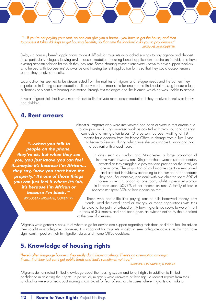### <span id="page-11-0"></span> *"…if you're not paying your rent, no one can give you a house…you have to get the house, and then to process it takes 40 days to get housing benefits, so that time the landlord asks you to pay deposit." MIGRANT, MANCHESTER*

Delays in housing benefit applications made it difficult for migrants who lacked savings to pay agency and deposit fees, particularly refugees leaving asylum accommodation. Housing benefit applications require an individual to have existing accommodation for which they pay rent. Some Housing Associations were known to have support workers who helped with Job Seekers' Allowance and housing benefit application forms so that they could accept tenants before they received benefits.

Local authorities seemed to be disconnected from the realities of migrant and refugee needs and the barriers they experience in finding accommodation. Illiteracy made it impossible for one man to find social housing because local authorities only sent him housing information through text messages and the Internet, which he was unable to access.

Several migrants felt that it was more difficult to find private rental accommodation if they received benefits or if they had children.

### **4. Rent arrears**

*"…when you talk to people on the phone, they're ok, but when they see you, you just know, you can feel it…maybe it's because I'm African… they say, 'now you can't have the property.' It's one of those things you can just feel it where it's 'oh, it's because I'm African or because I'm black.'" IRREGULAR MIGRANT, COVENTRY*

Almost all migrants who were interviewed had been or were in rent arrears due to low paid work, unguaranteed work associated with zero hour and agency contracts and immigration issues. One person had been waiting for 18 months for a decision from the Home Office to change from a Tier 1 visa to Leave to Remain, during which time she was unable to work and had to pay rent with a credit card.

> In cities such as London and Manchester, a large proportion of income went towards rent. Single mothers were disproportionately affected as they struggled to pay rent and provide for the family on one income. The proportion of total income spent on rent varied and affected individuals according to the number of dependants they had. For example, one adult with two children spent 30% of income on rent in London for one room, whilst a pregnant woman in London spent 60-70% of her income on rent. A family of four in Manchester spent 30% of their income on rent.

Those who had difficulties paying rent or bills borrowed money from friends, used their credit card or savings, or made negotiations with their landlord to the point of exhaustion. A few migrants we spoke to were in rent arrears of 3-5 months and had been given an eviction notice by their landlord at the time of interview.

Migrants were generally not sure of where to go for advice and support regarding their debt, or did not feel the advice they sought was adequate. However, it is important for migrants in debt to seek adequate advice as this can have significant impact on their immigration status and Home Office decisions.

### **5. Knowledge of housing rights**

*There's often language barriers, they really don't know anything. There's an assumption amongst them…that they just can't get public funds and that's sometimes not true."*

*IMMIGRATION LAWYER, LONDON*

Migrants demonstrated limited knowledge about the housing system and tenant rights in addition to limited confidence in asserting their rights. In particular, migrants were unaware of their right to request repairs from their landlord or were worried about making a complaint for fear of eviction. In cases where migrants did make a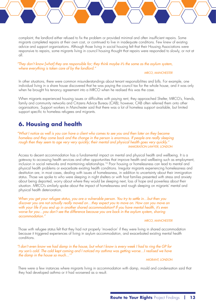<span id="page-12-0"></span>complaint, the landlord either refused to fix the problem or provided minimal and often insufficient repairs. Some migrants completed repairs at their own cost, or continued to live in inadequate conditions. Few knew of existing advice and support organisations. Although those living in social housing felt that their Housing Associations were responsive to repairs, some migrants living in council housing thought that repairs were responded to slowly, or not at all.

### *"They don't know [what] they are responsible for; they think maybe it's the same as the asylum system, where everything is taken care of by the landlord."*

### *MRCO, MANCHESTER*

In other situations, there were common misunderstandings about tenant responsibilities and bills. For example, one individual living in a share house discovered that he was paying the council tax for the whole house, and it was only when he brought his tenancy agreement into a MRCO when he realised this was the case.

When migrants experienced housing issues or difficulties with paying rent, they approached Shelter, MRCO's, friends, family and community networks and Citizens Advice Bureau (CAB); however, CAB often referred them onto other organisations. Support workers in Manchester said that there was a lot of homeless support available, but limited support specific to homeless refugees and migrants.

## **6. Housing and health**

*"What I notice as well is you can have a client who comes to see you and then later on they become homeless and they come back and the change in the person is enormous. If people are really sleeping rough then they seem to age very very quickly; their mental and physical health goes very quickly." IMMIGRATION LAWYER, LONDON*

Access to decent accommodation has a fundamental impact on mental and physical health and wellbeing. It is a gateway to accessing health services and other opportunities that improve health and wellbeing such as employment, inclusion in social networks and maintaining relationships.<sup>[16](#page-25-16)</sup> Poor housing or homelessness can lead to mental and physical health problems or exacerbate existing health conditions. Irregular migrants experiencing homelessness and destitution are, in most cases, dealing with issues of homelessness, in addition to uncertainty about their immigration status. Those we spoke to who were sleeping in night shelters or with host families presented with stress and anxiety about being deported, worry about where they would be sleeping next, loss of hope and powerless about their situation. MRCO's similarly spoke about the impact of homelessness and rough sleeping on migrants' mental and physical health deterioration.

*When you get your refugee status, you are a vulnerable person. You try to settle in…but then you discover you are not actually really moved on…they expect you to move on. How can you move on with your life if you end up in another shared accommodation? If you have mental health, it's even worse for you…you don't see the difference because you are back in the asylum system, sharing accommodation."*

### *MRCO, MANCHESTER*

Those with refugee status felt that they had not properly 'moved-on' if they were living in shared accommodation because it triggered experiences of living in asylum accommodation, and exacerbated existing mental health conditions.

*"I don't even know we had damp in the house, but what I know is every week I had to ring the GP for my son's cold. The cold kept coming and I noticed my asthma was getting worse...I realised we have the damp in the house so much...'"*

*MIGRANT, LONDON*

There were a few instances where migrants living in accommodation with damp, mould and condensation said that they had developed asthma or it had worsened as a result.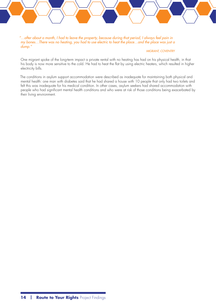*"…after about a month, I had to leave the property, because during that period, I always feel pain in my bones…There was no heating, you had to use electric to heat the place…and the place was just a dump."*

### *MIGRANT, COVENTRY*

One migrant spoke of the long-term impact a private rental with no heating has had on his physical health, in that his body is now more sensitive to the cold. He had to heat the flat by using electric heaters, which resulted in higher electricity bills.

The conditions in asylum support accommodation were described as inadequate for maintaining both physical and mental health: one man with diabetes said that he had shared a house with 10 people that only had two toilets and felt this was inadequate for his medical condition. In other cases, asylum seekers had shared accommodation with people who had significant mental health conditions and who were at risk of those conditions being exacerbated by their living environment.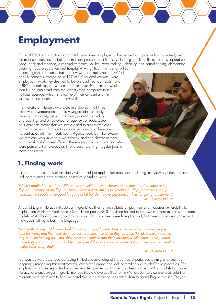## <span id="page-14-0"></span>**Employment**

Since 2002, the distribution of non-UK-born workers employed in low-waged occupations has increased, with the most common sectors being elementary process plant (industry cleaning, packers, fillers), process operatives (food, drink and tobacco, glass and ceramics, textiles, metal making), cleaning and housekeeping, elementary cleaning, food preparation and hospitality. A significant number of skilled

recent migrants are concentrated in low-waged employment.<sup>[17](#page-25-17)</sup> 37% of non-UK nationals, compared to 15% of UK national workers, were employed in work they deemed to be overqualified for.<sup>[18](#page-25-18)</sup> EU2<sup>19</sup> and EU820 nationals tend to work more hours (over 40 hours per week) than UK nationals and earn the lowest wage compared to the national average, which is reflective of their concentration in sectors that are deemed to be 'low-skilled'.

The majority of migrants who were interviewed in all three cities were overrepresented in low-waged jobs, primarily in cleaning, hospitality, retail, care work, warehouse picking and packing, and on zero-hour or agency contracts. Zerohour contracts means that workers are tied to a sole employer who is under no obligation to provide set hours and there are no contracted minimum work hours. Agency work is similar except workers can work in various workplaces, and can choose to work or not work a shift when offered. There were an exceptional few who were permanent employees or, in one case, working irregular jobs to make ends meet.

## **1. Finding work**

Language barriers, lack of familiarity with formal job application processes, including interview experience and a lack of references were common obstacles to finding work.

*"When I applied for work for different organisation in Manchester, at the time I had to improve my English...because of my English, some places it was difficult to accept me...English barrier is a big issue...some people have good language skill but don't have experience, skills for going to interview." MRCO, MANCHESTER*

A lack of English literacy skills delays migrants' abilities to find suitable employment and increases vulnerability to exploitation within the workplace. Cutbacks on public ESOL provision has led to long waits before migrants can learn English. MRCO's in Coventry said that private ESOL providers were filling the void, but there is a tendency to exploit individuals willing to learn the language.

*"So they think they just have to look for work, but you have to keep a record of it, so some people look for work, and then they don't bother [to record], so when they go back [to Job Centre], and say they've been looking for work, they have no evidence and their Job Seeker Allowance is suspended immediately. That is a major problem because if they are in an accommodation, their housing benefits is also affected by that."*

### *MRCO, MANCHESTER*

Job Centres were described as having limited understanding of the barriers experienced by migrants, such as language, navigating transport systems, computer literacy, and lack of familiarity with Job Centre processes. The emphasis on jobseekers to find work immediately pushes back other priorities such as building English language literacy, and encourages migrants into jobs they are overqualified for. In Manchester, service providers said that migrants were pressured to find work and told to do cleaning jobs rather than to attend English classes. The Job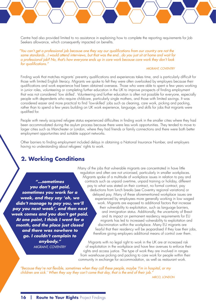<span id="page-15-0"></span>Centre had also provided limited to no assistance in explaining how to complete the reporting requirements for Job Seekers allowance, which consequently impacted on benefits.

*"You can't get a professional job because one they say our qualifications from our country are not the same standards...I would attend interviews, but that was the end...do you just sit at home and wait for a professional job? No, that's how everyone ends up in care work because care work they don't look for qualifications."*

### *MIGRANT, COVENTRY*

Finding work that matches migrants' pre-entry qualifications and experiences takes time, and is particularly difficult for those with limited English literacy. Migrants we spoke to felt they were often overlooked by employers because their qualifications and work experience had been obtained overseas. Those who were able to spent a few years working in junior roles, volunteering or completing further education in the UK to improve prospects of finding employment that was not considered 'low skilled'. Volunteering and further education is often not possible for everyone, especially people with dependents who require childcare, particularly single mothers, and those with limited savings. It was considered easier and more practical to find 'low-skilled' jobs such as cleaning, care work, picking and packing, rather than to spend a few years building on UK work experience, language, and skills for jobs that migrants were qualified for.

People with newly acquired refugee status experienced difficulties in finding work in the smaller cities where they had been accommodated during the asylum process because there were less work opportunities. They tended to move to larger cities such as Manchester or London, where they had friends or family connections and there were both better employment opportunities and suitable support networks.

Other barriers to finding employment included delays in obtaining a National Insurance Number, and employers having no understanding about refugees' rights to work.

### **2. Working Conditions**

*"…sometimes you don't get paid, sometimes you work for a week, and they say 'oh, we didn't manage to pay you, we'll pay you next week', and then next week comes and you don't get paid. At one point, I think I went for a month, and the place just closed and there was nowhere to go. I couldn't complain to anybody." MIGRANT, COVENTRY*

Many of the jobs that vulnerable migrants are concentrated in have little regulation and often are not unionised, particularly in smaller workplaces. Migrants spoke of a multitude of workplace issues in relation to pay and contracts such as unpaid overtime, unpaid training or holiday, different pay to what was stated on their contract, no formal contract, pay deductions from lunch breaks (see Coventry regional variations) or delayed pay. Many of these aforementioned workplace issues are experienced by employees more generally working in low waged work. Migrants are exposed to additional factors that increase their vulnerability to exploitation, such as language barriers, and immigration status. Additionally, the uncertainty of Brexit and its impact on permanent residency requirements for EU migrants has led to increased vulnerability to exploitation and discrimination within the workplace. Many EU migrants are fearful that their residency will be jeopardised if they lose their jobs, therefore giving employers additional means of control over them.

Migrants with no legal right to work in the UK are at increased risk of exploitation in the workplace and have few avenues to enforce their rights and access justice. The type of work they are involved in ranges from warehouse picking and packing to care work for people within their community in exchange for accommodation, as well as restaurant work.

*"Because they're not flexible, sometimes when they call these people, maybe 'I'm in hospital, or my children are sick.' When they say they can't come that day, that is the end of their job."*

*MRCO, LONDON*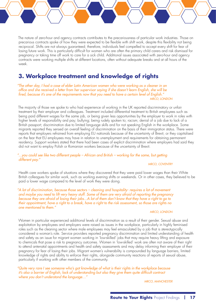<span id="page-16-0"></span>The nature of zero-hour and agency contracts contributes to the precariousness of particular work industries. Those on precarious contracts spoke of how they were expected to be flexible with shift work, despite this flexibility not being reciprocal. Shifts are not always guaranteed; therefore, individuals feel compelled to accept every shift for fear of losing future work. This is particularly difficult for women who are often the primary child carers and risk dismissal for pregnancy or taking time off work to care for a sick child. Additional issues associated with zero-hour and agency contracts were working multiple shifts at different locations, often without adequate breaks and at all hours of the week.

## **3. Workplace treatment and knowledge of rights**

*"The other day, I had a case of elder Latin American women who were working as a cleaner in an office and she received a letter from her supervisor saying if she doesn't learn English, she will be fired, because it's one of the requirements now that you need to have a certain level of English." MRCO, LONDON*

The majority of those we spoke to who had experience of working in the UK reported discriminatory or unfair treatment by their employer and colleagues. Treatment included differential treatment to British employees such as being paid different wages for the same job, or being given less opportunities by the employer to work in roles with higher levels of responsibility and pay; bullying; being rudely spoken to; racism; denial of a job due to lack of a British passport; discrimination due to limited language skills and for not speaking English in the workplace. Some migrants reported they sensed an overall feeling of discrimination on the basis of their immigration status. There were reports that employers refrained from employing EU nationals because of the uncertainty of Brexit, or they capitalised on the fear that EU employees may have in relation to unemployment and requirements for obtaining permanent residency. Support workers stated that there had been cases of explicit discrimination where employers had said they did not want to employ Polish or Romanian workers because of the uncertainty of Brexit.

*"...you could see like two different people – African and British – working for the same, but getting different pay."*

### *MRCO, COVENTRY*

Health care workers spoke of situations where they discovered that they were paid lower wages than their White British colleagues for similar work, such as working evening shifts or weekends. Or in other cases, they believed to be paid a lower wage compared to the level of work they were doing.

*"A lot of discrimination, because those sectors – cleaning and hospitality- requires a lot of movement and maybe you need to lift very heavy stuff. Some of them are very afraid of reporting the pregnancy because they are afraid of losing their jobs...A lot of them don't know that they have a right to go to their appointment, have a right to a break, have a right to the risk assessment, so those are rights no one mentioned to them."*

### *MRCO, LONDON*

Women in particular experienced additional levels of discrimination as a result of their gender. Sexual abuse and exploitation by employees and employers were raised as issues in the workplace, particularly in highly feminised roles such as the cleaning sector where male employees may feel emasculated by a job that is stereotypically considered a woman's role. Service providers reported pregnancy discrimination and limited understanding of health and safety as an issue for migrant women working in 'low-skilled' jobs that may require heavy lifting and exposure to chemicals that pose a risk to pregnancy outcomes. Women in 'low-skilled' work are often not aware of their right to attend antenatal appointments and health and safety assessments and may delay informing their employer of their pregnancy for fear of losing their jobs. Migrant women's vulnerability is compounded by language barriers, limited knowledge of rights and ability to enforce their rights, alongside community reactions of reports of sexual abuse, particularly if working with other members of the community.

*"Quite very rare I see someone who's got knowledge of what is their rights in the workplace because it's also a barrier of English, lack of understanding but also they give them quite difficult contract where you don't understand the language…"*

*MRCO, MANCHESTER*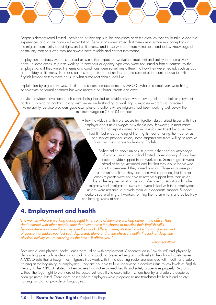<span id="page-17-0"></span>Migrants demonstrated limited knowledge of their rights in the workplace or of the avenues they could take to address experiences of discrimination and exploitation. Service providers stated that there are common misconceptions in the migrant community about rights and entitlements, and those who are more vulnerable tend to trust knowledge of community members who may not always have reliable and correct information.

Employment contracts were also raised as issues that impact on workplace treatment and ability to enforce work rights. In some cases, migrants working in zero-hour or agency type work were not issued a formal contract by their employer, and if they were, the terms and conditions were sometimes different to how they were treated, such as pay and holiday entitlements. In other situations, migrants did not understand the content of the contract due to limited English literacy or they were not sure what a contract should look like.

Exploitation by big chains was identified as a common occurrence by MRCO's who said employers were hiring people with no formal contracts but were unafraid of tribunal threats and costs.

Service providers have stated their clients being labelled as troublemakers when having asked for their employment contract. Having no contract, along with limited understanding of work rights, exposes migrants to increased vulnerability. Service providers gave examples of situations where migrants had been working well below the minimum wage on £3 or £4 an hour.

> A few individuals with more secure immigration status raised issues with their employer about unfair wages or withheld pay. However, in most cases, migrants did not report discriminatory or unfair treatment because they had limited understanding of their rights, fear of losing their job, or as one service provider stated, some migrants are more willing to receive low pay in exchange for learning English.

> When asked about unions, migrants either had no knowledge of what a union was or had limited understanding of how they could provide support in the workplace. Some migrants were afraid of being victimised and felt that they would be viewed as a troublemaker if they joined a union. Those who were part of the union felt that they had been well supported, but in other cases migrants were not able to receive support from their union due to the required waiting periods after joining. Additionally, when migrants had immigration issues that were linked with their employment, unions were not able to provide them with adequate support. Support workers spoke of migrant workers forming their own unions and collectively challenging issues at hand.

## **4. Employment and health**

*"The women who are working during night time, some of them are working alone in the office. They don't interact with other people; they don't even have the chance to practice their English skills because there is no one there. Because they work different times, it's hard to take English classes, and of course that makes you feel sad, depressed, alone and in the physical health, the lack of sleep, the physical activity you're carrying all the time – it affects you."*

### *MRCO, LONDON*

Both mental and physical health issues were linked with employment. Concentration in 'low-skilled' and physically demanding jobs such as cleaning or picking and packing presented migrants with risks to health and safety issues. A MRCO said that although most migrants they work with in the cleaning sector are provided with health and safety training at the beginning of employment, they are not able to fully understand procedures due to low levels of English literacy. Other MRCO's stated that employers had not explained health and safety procedures properly. Migrants without the legal right to work are at increased vulnerability to exploitation, where healthy and safety procedures often go unregulated. There were cases where employers were prepared to use translators for health and safety training but did not provide all languages.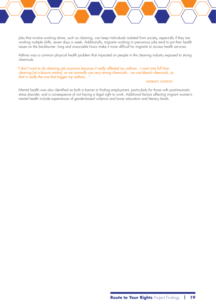Jobs that involve working alone, such as cleaning, can keep individuals isolated from society, especially if they are working multiple shifts, seven days a week. Additionally, migrants working in precarious jobs tend to put their health issues on the backburner: long and unsociable hours make it more difficult for migrants to access health services.

Asthma was a common physical health problem that impacted on people in the cleaning industry exposed to strong chemicals.

*"I don't want to do cleaning job anymore because it really affected my asthma…I went into full time cleaning [at a leisure centre], so we normally use very strong chemicals…we use bleach chemicals, so that is really the one that trigger my asthma…"*

### *MIGRANT, LONDON*

Mental health was also identified as both a barrier to finding employment, particularly for those with post-traumatic stress disorder, and a consequence of not having a legal right to work. Additional factors affecting migrant women's mental health include experiences of gender-based violence and lower education and literacy levels.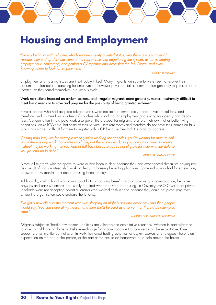## <span id="page-19-0"></span>**Housing and Employment**

*"I've worked a lot with refugees who have been newly granted status, and there are a number of reasons they end up destitute...one of the reasons...is that negotiating the system, as far as finding employment is concerned, and getting a CV together and accessing the Job Centre, and even knowing where to look for employment…"*

### *MRCO, LONDON*

Employment and housing issues are inextricably linked. Many migrants we spoke to were keen to resolve their accommodation before searching for employment; however private rental accommodation generally requires proof of income, so they found themselves in a vicious cycle.

### Work restrictions imposed on asylum seekers, and irregular migrants more generally, makes it extremely difficult to meet basic needs or to save and prepare for the possibility of being granted settlement.

Several people who had acquired refugee status were not able to immediately afford private rental fees, and therefore lived on their family or friends' couches whilst looking for employment and saving for agency and deposit fees. Concentration in low paid work also gave little prospect for migrants to afford their own flat or better living conditions. An MRCO said that some of their service users rent rooms and therefore do not have their names on bills, which has made it difficult for them to register with a GP because they lack the proof of address.

### *"Getting paid less, like for example when you're working for agencies, you're waiting for them to call you if there is any work. So you're available, but there is no work, so you can stay a week to weeks without maybe working...so you kind of fall back because you're not eligible for help with the dole so you just end up in debt."*

#### *MIGRANT, MANCHESTER*

Almost all migrants who we spoke to were or had been in debt because they had experienced difficulties paying rent as a result of unguaranteed shift work or delays in housing benefit applications. Some individuals had faced eviction, or owed a few months' rent due to housing benefit delays.

Additionally, cash-in-hand work can impact both on housing benefits and on obtaining accommodation, because payslips and bank statements are usually required when applying for housing. In Coventry, MRCO's said that private landlords were not accepting potential tenants who worked cash-in-hand because they could not prove pay, even where the organisation could endorse the tenancy.

### *"I've got a new client at the moment who was sleeping on night buses and every now and then people would say, 'you can sleep at my house', and then she'd be used as a servant, or there'd be attempted rape."*

#### *IMMIGRATION LAWYER, LONDON*

Migrants subject to 'hostile environment' policies are vulnerable to exploitative situations. Women in particular tend to take up childcare or domestic tasks in exchange for accommodation that can verge on the exploitative. One support worker mentioned that even in well-intentioned hosting schemes for asylum seekers and refugees, there is an expectation on the part of the person, or the part of the host to do housework or to help around the house.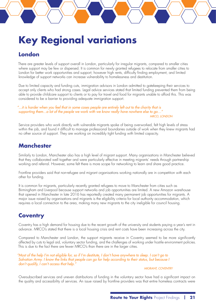## <span id="page-20-0"></span>**Key Regional variations**

## **London**

There are greater levels of support overall in London, particularly for irregular migrants, compared to smaller cities where support may be few or dispersed. It is common for newly granted refugees to relocate from smaller cities to London for better work opportunities and support; however high rents, difficulty finding employment, and limited knowledge of support networks can increase vulnerability to homelessness and destitution.

Due to limited capacity and funding cuts, immigration advisors in London admitted to gatekeeping their services to accept only clients who had strong cases. Legal advice services stated that limited funding prevented them from being able to provide childcare support to clients or to pay for travel and food for migrants unable to afford this. This was considered to be a barrier to providing adequate immigration support.

*"...it is harder when you feel that in some cases people are entirely left out to the charity that is supporting them...a lot of the people we work with we know really have nowhere else to go…" MRCO, LONDON*

Service providers who work directly with vulnerable migrants spoke of being overworked, felt high levels of stress within the job, and found it difficult to manage professional boundaries outside of work when they knew migrants had no other source of support. They are working on incredibly tight funding with limited capacity.

## **Manchester**

Similarly to London, Manchester also has a high level of migrant support. Many organisations in Manchester believed that they collaborated well together and were particularly effective in meeting migrants' needs through partnership working and referral. However, some felt there is more scope for networking to learn and share good practice.

Frontline providers said that non-refugee and migrant organisations working nationally are in competition with each other for funding.

It is common for migrants, particularly recently granted refugees to move to Manchester from cities such as Birmingham and Liverpool because support networks and job opportunities are limited. A new Amazon warehouse that opened in Manchester in late 2016 has reportedly created many permanent job opportunities for migrants. A major issue raised by organisations and migrants is the eligibility criteria for local authority accommodation, which requires a local connection to the area, making many new migrants to the city ineligible for council housing.

## **Coventry**

Coventry has a high demand for housing due to the recent growth of the university and students paying a year's rent in advance. MRCO's stated that there is a local housing crisis and rent costs have been increasing across the city.

Compared to Manchester and London, the support migrants receive in Coventry seemed to be more significantly affected by cuts to legal aid, voluntary sector funding, and the challenges of working under hostile environment policies. This is due to the fact there are fewer MRCO's than there are in the larger cities.

*"Most of the help I'm not eligible for, so if I'm destitute, I don't have anywhere to sleep. I can't go to Salvation Army. I know the links that people can go for help according to their status, but because I don't qualify, I can't access that help."*

### *MIGRANT, COVENTRY*

Oversubscribed services and uneven distributions of funding in the voluntary sector have had a significant impact on the quality and accessibility of services. An issue raised by frontline providers was that entire homeless contracts were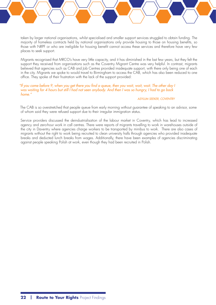taken by larger national organisations, whilst specialised and smaller support services struggled to obtain funding. The majority of homeless contracts held by national organisations only provide housing to those on housing benefits, so those with NRPF or who are ineligible for housing benefit cannot access these services and therefore have very few places to seek support.

Migrants recognised that MRCO's have very little capacity, and it has diminished in the last few years, but they felt the support they received from organisations such as the Coventry Migrant Centre was very helpful. In contrast, migrants believed that agencies such as CAB and Job Centres provided inadequate support, with there only being one of each in the city. Migrants we spoke to would travel to Birmingham to access the CAB, which has also been reduced to one office. They spoke of their frustration with the lack of the support provided:

*"If you come before 9, when you get there you find a queue, then you wait, wait, wait. The other day I was waiting for 4 hours but still I had not seen anybody. And then I was so hungry, I had to go back home."*

### *ASYLUM SEEKER, COVENTRY*

The CAB is so overstretched that people queue from early morning without guarantee of speaking to an advisor, some of whom said they were refused support due to their irregular immigration status.

Service providers discussed the deindustrialisation of the labour market in Coventry, which has lead to increased agency and zero-hour work in call centres. There were reports of migrants travelling to work in warehouses outside of the city in Daventry where agencies charge workers to be transported by minibus to work. There are also cases of migrants without the right to work being recruited to clean university halls through agencies who provided inadequate breaks and deducted lunch breaks from wages. Additionally, there have been examples of agencies discriminating against people speaking Polish at work, even though they had been recruited in Polish.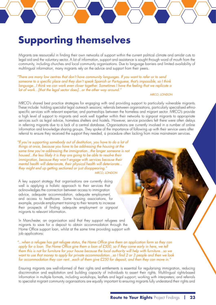## <span id="page-22-0"></span>**Supporting themselves**

Migrants are resourceful in finding their own networks of support within the current political climate and amidst cuts to legal aid and the voluntary sector. A lot of information, support and assistance is sought through word of mouth from the community, including churches and local community organisations. Due to language barriers and limited availability of multilingual information, many migrants rely on the advice and support from their peers.

*"There are many law centres that don't have community languages. If you want to refer or to send someone to a specific place and they don't speak Spanish or Portuguese, that's impossible, so I think language...I think we can work even closer together. Sometimes I have the feeling that we replicate a lot of work…[that the legal sector does]...or the other way around."*

### *MRCO, LONDON*

MRCO's shared best practice strategies for engaging with and providing support to particularly vulnerable migrants. These include: holding specialist legal outreach sessions; referrals between organisations, particularly specialised ethnospecific services with relevant expertise; and partnerships between the homeless and migrant sector. MRCO's provide a high level of support to migrants and work well together within their networks to signpost migrants to appropriate services such as legal advice, homeless shelters and hostels. However, service providers felt there were often delays in referring migrants due to a lack of a central database. Organisations are currently involved in a number of online information and knowledge sharing groups. They spoke of the importance of following up with their service users after referral to ensure they received the support they needed, a procedure often lacking from more mainstream services.

*"If you're supporting somebody out of destitution, you have to do a lot of things at once, because you have to be addressing the housing at the same time you're addressing the immigration...the longer someone is not housed...the less likely it is they are going to be able to resolve their immigration, because they won't engage with services because their mental health will deteriorate, their physical health will deteriorate... they might end up getting sectioned or just disappearing." MRCO, LONDON*

A key support strategy that organisations are currently doing well is applying a holistic approach to their services that acknowledges the connection between access to immigration advice, adequate accommodation, adequate employment, and access to healthcare. Some housing associations, for example, provide employment training to their tenants to increase their prospects of finding adequate employment or signpost migrants to relevant information.

In Manchester, an organisation said that they support refugees and migrants to save for a deposit to obtain accommodation through the Home Office support loan, whilst at the same time providing support with job applications:

*"...when a refugee has got refugee status, the Home Office give them an application form so they can apply for a loan. The Home Office give them a loan of £500, so if they come early in here, we tell them this is not for furniture for your house because the local authority will help with furniture...so we want to use that money to apply for private accommodation...so I find 2 or 3 people and then we look for accommodation they can rent...each of them give £250 for deposit, and then they can move in."*

Ensuring migrants are well-informed of their rights and entitlements is essential for regularising immigration, reducing discrimination and exploitation and building capacity of individuals to assert their rights. Multilingual rights-based information in multiple formats, including workshops, leaflets and legal support; working with interpreters; and referrals to specialist migrant community organisations are equally important to ensuring migrants fully understand their rights and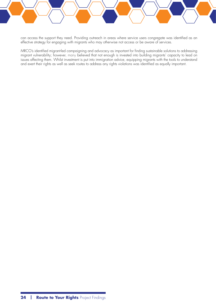can access the support they need. Providing outreach in areas where service users congregate was identified as an effective strategy for engaging with migrants who may otherwise not access or be aware of services.

MRCO's identified migrant-led campaigning and advocacy as important for finding sustainable solutions to addressing migrant vulnerability; however, many believed that not enough is invested into building migrants' capacity to lead on issues affecting them. Whilst investment is put into immigration advice, equipping migrants with the tools to understand and exert their rights as well as seek routes to address any rights violations was identified as equally important.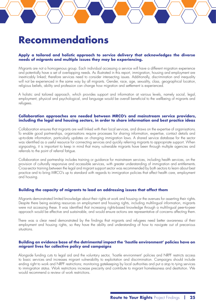## <span id="page-24-0"></span>**Recommendations**

### **Apply a tailored and holistic approach to service delivery that acknowledges the diverse needs of migrants and multiple issues they may be experiencing.**

Migrants are not a homogenous group. Each individual accessing a service will have a different migration experience and potentially have a set of overlapping needs. As illustrated in this report, immigration, housing and employment are inextricably linked; therefore services need to consider intersecting issues. Additionally, discrimination and inequality will not be experienced in the same way by all migrants. Gender, race, age, sexuality, class, geographical location, religious beliefs, ability and profession can change how migration and settlement is experienced.

A holistic and tailored approach, which provides support and information at various levels, namely social, legal, employment, physical and psychological, and language would be overall beneficial to the wellbeing of migrants and refugees.

### **Collaboration approaches are needed between MRCO's and mainstream service providers, including the legal and housing sectors, in order to share information and best practice ideas**

Collaboration ensures that migrants are well linked with their local services, and draws on the expertise of organisations. To enable good partnerships, organisations require processes for sharing information, expertise, contact details and up-to-date information, particularly updates on changing immigration laws. A shared service database for the sector was identified as a useful resource for connecting services and quickly referring migrants to appropriate support. When signposting, it is important to keep in mind that many vulnerable migrants have been through multiple agencies and referrals to the point of referral fatigue.

Collaboration and partnership includes training or guidance for mainstream services, including health services, on the provision of culturally responsive and accessible services, with greater understanding of immigration and entitlements. Cross-sector training between the legal and migrant support sector was recommended by both sectors to learn about best practice and to bring MRCO's up to standard with regards to immigration policies that affect health care, employment and housing.

### **Building the capacity of migrants to lead on addressing issues that affect them**

Migrants demonstrated limited knowledge about their rights at work and housing or the avenues for asserting their rights. Despite there being existing resources on employment and housing rights, including multilingual information, migrants were not accessing these. It was identified that increasing rights-based knowledge through a multilingual peer-to-peer approach would be effective and sustainable, and would ensure actions are representative of concerns affecting them.

There was a clear need demonstrated by the findings that migrants and refugees need better awareness of their employment and housing rights, so they have the ability and understanding of how to navigate out of precarious situations.

### **Building an evidence base of the detrimental impact the 'hostile environment' policies have on migrant lives for collective policy and campaigns**

Alongside funding cuts to legal aid and the voluntary sector, 'hostile environment' policies and NRPF restricts access to basic services and increases migrant vulnerability to exploitation and discrimination. Campaigns should include ending right to work and NRPF restrictions; monitoring gatekeeping by local authorities and put a stop to tying services to immigration status. Work restrictions increase precarity and contribute to migrant homelessness and destitution. We would recommend a review of work restrictions.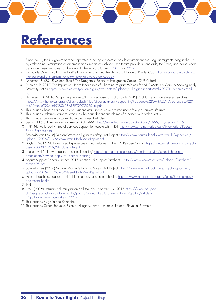# <span id="page-25-0"></span>**References**

- <span id="page-25-1"></span>1 Since 2012, the UK government has operated a policy to create a 'hostile environment' for irregular migrants living in the UK by embedding immigration enforcement measures across schools, healthcare providers, landlords, the DVLA, and banks. More details on these measures can be found in the Immigration Acts [2014](http://www.legislation.gov.uk/ukpga/2014/22/contents/enacted) and [2016.](http://www.legislation.gov.uk/ukpga/2016/19/contents/enacted)
- <span id="page-25-2"></span>2 Corporate Watch (2017) The Hostile Environment: Turning the UK into a Nation of Border Cops [https://corporatewatch.org/](https://corporatewatch.org/the-hostile-environment-turning-the-uk-into-a-nation-of-border-cops-2/) [the-hostile-environment-turning-the-uk-into-a-nation-of-border-cops-2/](https://corporatewatch.org/the-hostile-environment-turning-the-uk-into-a-nation-of-border-cops-2/)
- <span id="page-25-3"></span>3 Anderson, B. (2013) Us and Them? The Dangerous Politics of Immigration Control, OUP Oxford.
- <span id="page-25-4"></span>4 Feldman, R (2017) The Impact on Health Inequalities of Charging Migrant Women for NHS Maternity Care: A Scoping Study. Maternity Action [https://www.maternityaction.org.uk/wp-content/uploads/ChargingReportMarch2017FINALcompressed.](https://www.maternityaction.org.uk/wp-content/uploads/ChargingReportMarch2017FINALcompressed.pdf) [pdf](https://www.maternityaction.org.uk/wp-content/uploads/ChargingReportMarch2017FINALcompressed.pdf)
- <span id="page-25-5"></span>5 Homeless Link (2016) Supporting People with No Recourse to Public Funds (NRPF): Guidance for homelessness services [https://www.homeless.org.uk/sites/default/files/site-attachments/Supporting%20people%20with%20no%20recourse%20](https://www.homeless.org.uk/sites/default/files/site-attachments/Supporting%20people%20with%20no%20recourse%20to%20public%20funds%20%28NRPF%29%202016.pdf) [to%20public%20funds%20%28NRPF%29%202016.pdf](https://www.homeless.org.uk/sites/default/files/site-attachments/Supporting%20people%20with%20no%20recourse%20to%20public%20funds%20%28NRPF%29%202016.pdf)
- <span id="page-25-6"></span>6 This includes those on a spouse visa, student visa, limited leave granted under family or private life rules.
- <span id="page-25-7"></span>7 This includes indefinite leave to remain as the adult dependent relative of a person with settled status.
- <span id="page-25-8"></span>8 This includes people who would have overstayed their visa
- <span id="page-25-9"></span>9 Section 115 of Immigration and Asylum Act 1999 <https://www.legislation.gov.uk/ukpga/1999/33/section/115>
- <span id="page-25-10"></span>10 NRPF Network (2017) Social Services Support for People with NRPF [http://www.nrpfnetwork.org.uk/information/Pages/](http://www.nrpfnetwork.org.uk/information/Pages/Social-Services.aspx) [Social-Services.aspx](http://www.nrpfnetwork.org.uk/information/Pages/Social-Services.aspx)
- <span id="page-25-11"></span>11 Safety4Sisters (2016) Migrant Women's Rights to Safety Pilot Project [https://www.southallblacksisters.org.uk/wp-content/](https://www.southallblacksisters.org.uk/wp-content/uploads/2016/11/Safety4Sisters-North-West-Report.pdf) [uploads/2016/11/Safety4Sisters-North-West-Report.pdf](https://www.southallblacksisters.org.uk/wp-content/uploads/2016/11/Safety4Sisters-North-West-Report.pdf)
- <span id="page-25-12"></span>12 Doyle, L (2014) 28 Days Later: Experiences of new refugees in the UK. Refugee Council [https://www.refugeecouncil.org.uk/](https://www.refugeecouncil.org.uk/assets/0003/1769/28_days_later.pdf) [assets/0003/1769/28\\_days\\_later.pdf](https://www.refugeecouncil.org.uk/assets/0003/1769/28_days_later.pdf)
- <span id="page-25-13"></span>13 Shelter (2016) 'How to apply for council housing' [https://england.shelter.org.uk/housing\\_advice/council\\_housing\\_](https://england.shelter.org.uk/housing_advice/council_housing_association/how_to_apply_for_council_housing) [association/how\\_to\\_apply\\_for\\_council\\_housing](https://england.shelter.org.uk/housing_advice/council_housing_association/how_to_apply_for_council_housing)
- <span id="page-25-14"></span>14 Asylum Support Appeals Project (2016) Section 95 Support Factsheet 1 [http://www.asaproject.org/uploads/Factsheet-1](http://www.asaproject.org/uploads/Factsheet-1-section-95.pdf) [section-95.pdf](http://www.asaproject.org/uploads/Factsheet-1-section-95.pdf)
- <span id="page-25-15"></span>15 Safety4Sisters (2016) Migrant Women's Rights to Safety Pilot Project [https://www.southallblacksisters.org.uk/wp-content/](https://www.southallblacksisters.org.uk/wp-content/uploads/2016/11/Safety4Sisters-North-West-Report.pdf) [uploads/2016/11/Safety4Sisters-North-West-Report.pdf](https://www.southallblacksisters.org.uk/wp-content/uploads/2016/11/Safety4Sisters-North-West-Report.pdf)
- <span id="page-25-16"></span>16 Mental Health Foundation (2015) Homelessness and mental health. [https://www.mentalhealth.org.uk/blog/homelessness](https://www.mentalhealth.org.uk/blog/homelessness-and-mental-health)[and-mental-health](https://www.mentalhealth.org.uk/blog/homelessness-and-mental-health)
- <span id="page-25-17"></span>17 Ibid
- <span id="page-25-18"></span>18 ONS (2016) International immigration and the labour market, UK: 2016 [https://www.ons.gov.](https://www.ons.gov.uk/peoplepopulationandcommunity/populationandmigration/internationalmigration/articles/migrationandthelabourmarketuk/2016) [uk/peoplepopulationandcommunity/populationandmigration/internationalmigration/articles/](https://www.ons.gov.uk/peoplepopulationandcommunity/populationandmigration/internationalmigration/articles/migrationandthelabourmarketuk/2016) [migrationandthelabourmarketuk/2016](https://www.ons.gov.uk/peoplepopulationandcommunity/populationandmigration/internationalmigration/articles/migrationandthelabourmarketuk/2016)
- <span id="page-25-19"></span>19 This includes Bulgaria and Romania.
- 20 This includes Czech Republic, Estonia, Hungary, Latvia, Lithuania, Poland, Slovakia, Slovenia.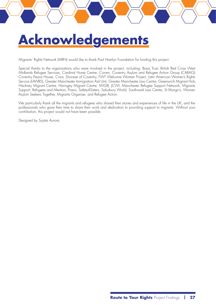# <span id="page-26-0"></span>**Acknowledgements**

Migrants' Rights Network (MRN) would like to thank Paul Hamlyn Foundation for funding this project.

Special thanks to the organisations who were involved in the project, including: Boaz Trust, British Red Cross West Midlands Refugee Services, Cardinal Hume Centre, Coram, Coventry Asylum and Refugee Action Group (CARAG), Coventry Peace House, Crisis, Diocese of Coventry, FWT Welcome Women Project, Latin American Women's Rights Service (LAWRS), Greater Manchester Immigration Aid Unit, Greater Manchester Law Centre, Greenwich Migrant Hub, Hackney Migrant Centre, Haringey Migrant Centre, IWGB, JCWI, Manchester Refugee Support Network, Migrants Support, Refugees and Mentors, Praxis, Safety4Sisters, Salusbury World, Southwark Law Centre, St Mungo's, Women Asylum Seekers Together, Migrants Organise, and Refugee Action.

We particularly thank all the migrants and refugees who shared their stories and experiences of life in the UK, and the professionals who gave their time to share their work and dedication to providing support to migrants. Without your contribution, this project would not have been possible.

Designed by Sujata Aurora.